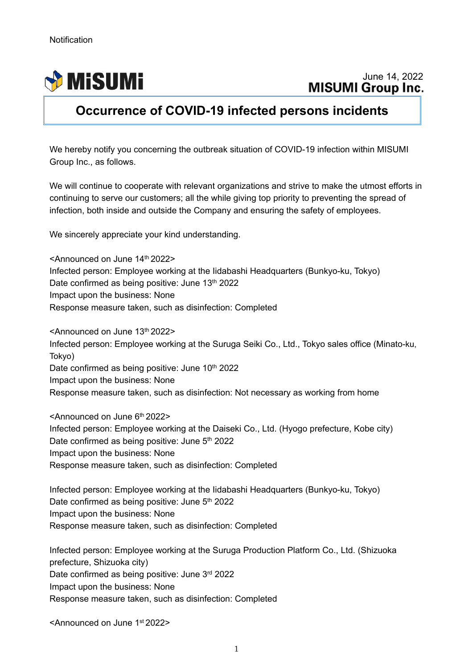j



## **Occurrence of COVID-19 infected persons incidents**

We hereby notify you concerning the outbreak situation of COVID-19 infection within MISUMI Group Inc., as follows.

We will continue to cooperate with relevant organizations and strive to make the utmost efforts in continuing to serve our customers; all the while giving top priority to preventing the spread of infection, both inside and outside the Company and ensuring the safety of employees.

We sincerely appreciate your kind understanding.

<Announced on June 14th 2022> Infected person: Employee working at the Iidabashi Headquarters (Bunkyo-ku, Tokyo) Date confirmed as being positive: June 13<sup>th</sup> 2022 Impact upon the business: None Response measure taken, such as disinfection: Completed

<Announced on June 13th 2022> Infected person: Employee working at the Suruga Seiki Co., Ltd., Tokyo sales office (Minato-ku, Tokyo) Date confirmed as being positive: June 10<sup>th</sup> 2022 Impact upon the business: None Response measure taken, such as disinfection: Not necessary as working from home

<Announced on June 6th 2022> Infected person: Employee working at the Daiseki Co., Ltd. (Hyogo prefecture, Kobe city) Date confirmed as being positive: June 5<sup>th</sup> 2022 Impact upon the business: None Response measure taken, such as disinfection: Completed

Infected person: Employee working at the Iidabashi Headquarters (Bunkyo-ku, Tokyo) Date confirmed as being positive: June 5<sup>th</sup> 2022 Impact upon the business: None Response measure taken, such as disinfection: Completed

Infected person: Employee working at the Suruga Production Platform Co., Ltd. (Shizuoka prefecture, Shizuoka city) Date confirmed as being positive: June 3rd 2022 Impact upon the business: None Response measure taken, such as disinfection: Completed

<Announced on June 1st 2022>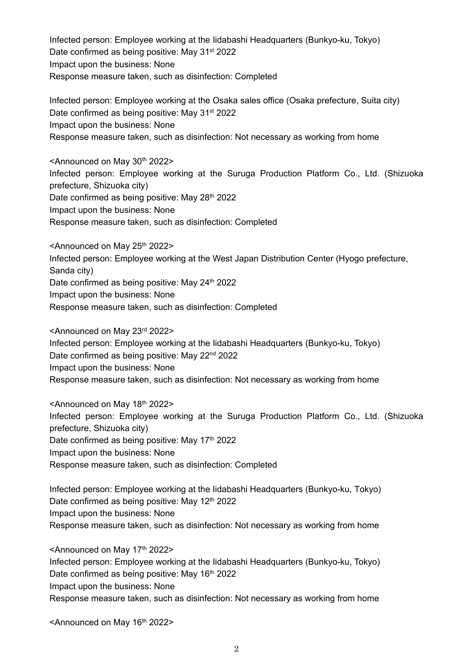Infected person: Employee working at the Iidabashi Headquarters (Bunkyo-ku, Tokyo) Date confirmed as being positive: May 31<sup>st</sup> 2022 Impact upon the business: None Response measure taken, such as disinfection: Completed

Infected person: Employee working at the Osaka sales office (Osaka prefecture, Suita city) Date confirmed as being positive: May 31<sup>st</sup> 2022 Impact upon the business: None Response measure taken, such as disinfection: Not necessary as working from home

<Announced on May 30th 2022> Infected person: Employee working at the Suruga Production Platform Co., Ltd. (Shizuoka prefecture, Shizuoka city) Date confirmed as being positive: May 28<sup>th</sup> 2022 Impact upon the business: None Response measure taken, such as disinfection: Completed

<Announced on May 25<sup>th</sup> 2022> Infected person: Employee working at the West Japan Distribution Center (Hyogo prefecture, Sanda city) Date confirmed as being positive: May 24<sup>th</sup> 2022 Impact upon the business: None Response measure taken, such as disinfection: Completed

<Announced on May 23rd 2022> Infected person: Employee working at the Iidabashi Headquarters (Bunkyo-ku, Tokyo) Date confirmed as being positive: May 22<sup>nd</sup> 2022 Impact upon the business: None Response measure taken, such as disinfection: Not necessary as working from home

<Announced on May 18th 2022> Infected person: Employee working at the Suruga Production Platform Co., Ltd. (Shizuoka prefecture, Shizuoka city) Date confirmed as being positive: May 17<sup>th</sup> 2022 Impact upon the business: None Response measure taken, such as disinfection: Completed

Infected person: Employee working at the Iidabashi Headquarters (Bunkyo-ku, Tokyo) Date confirmed as being positive: May 12<sup>th</sup> 2022 Impact upon the business: None Response measure taken, such as disinfection: Not necessary as working from home

<Announced on May 17th 2022> Infected person: Employee working at the Iidabashi Headquarters (Bunkyo-ku, Tokyo) Date confirmed as being positive: May 16th 2022 Impact upon the business: None Response measure taken, such as disinfection: Not necessary as working from home

 $\leq$ Announced on May 16<sup>th</sup> 2022>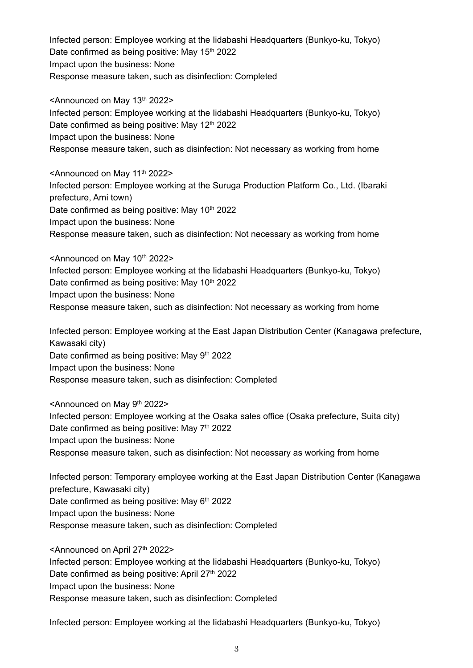Infected person: Employee working at the Iidabashi Headquarters (Bunkyo-ku, Tokyo) Date confirmed as being positive: May 15<sup>th</sup> 2022 Impact upon the business: None Response measure taken, such as disinfection: Completed

<Announced on May 13th 2022> Infected person: Employee working at the Iidabashi Headquarters (Bunkyo-ku, Tokyo) Date confirmed as being positive: May 12<sup>th</sup> 2022 Impact upon the business: None Response measure taken, such as disinfection: Not necessary as working from home

<Announced on May 11<sup>th</sup> 2022> Infected person: Employee working at the Suruga Production Platform Co., Ltd. (Ibaraki prefecture, Ami town) Date confirmed as being positive: May 10<sup>th</sup> 2022 Impact upon the business: None Response measure taken, such as disinfection: Not necessary as working from home

<Announced on May 10th 2022> Infected person: Employee working at the Iidabashi Headquarters (Bunkyo-ku, Tokyo) Date confirmed as being positive: May 10<sup>th</sup> 2022 Impact upon the business: None Response measure taken, such as disinfection: Not necessary as working from home

Infected person: Employee working at the East Japan Distribution Center (Kanagawa prefecture, Kawasaki city) Date confirmed as being positive: May 9<sup>th</sup> 2022 Impact upon the business: None Response measure taken, such as disinfection: Completed

<Announced on May 9th 2022> Infected person: Employee working at the Osaka sales office (Osaka prefecture, Suita city) Date confirmed as being positive: May  $7<sup>th</sup> 2022$ Impact upon the business: None Response measure taken, such as disinfection: Not necessary as working from home

Infected person: Temporary employee working at the East Japan Distribution Center (Kanagawa prefecture, Kawasaki city) Date confirmed as being positive: May  $6<sup>th</sup>$  2022 Impact upon the business: None Response measure taken, such as disinfection: Completed

<Announced on April 27th 2022> Infected person: Employee working at the Iidabashi Headquarters (Bunkyo-ku, Tokyo) Date confirmed as being positive: April 27<sup>th</sup> 2022 Impact upon the business: None Response measure taken, such as disinfection: Completed

Infected person: Employee working at the Iidabashi Headquarters (Bunkyo-ku, Tokyo)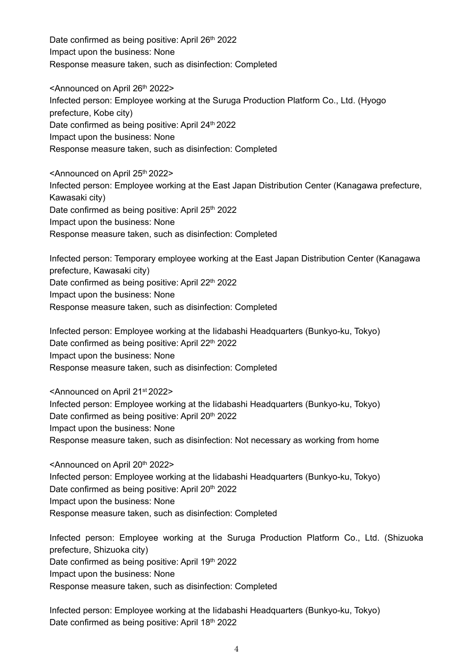Date confirmed as being positive: April 26<sup>th</sup> 2022 Impact upon the business: None Response measure taken, such as disinfection: Completed

<Announced on April 26<sup>th</sup> 2022> Infected person: Employee working at the Suruga Production Platform Co., Ltd. (Hyogo prefecture, Kobe city) Date confirmed as being positive: April 24<sup>th</sup> 2022 Impact upon the business: None Response measure taken, such as disinfection: Completed

<Announced on April 25<sup>th</sup> 2022> Infected person: Employee working at the East Japan Distribution Center (Kanagawa prefecture, Kawasaki city) Date confirmed as being positive: April 25<sup>th</sup> 2022 Impact upon the business: None Response measure taken, such as disinfection: Completed

Infected person: Temporary employee working at the East Japan Distribution Center (Kanagawa prefecture, Kawasaki city) Date confirmed as being positive: April 22<sup>th</sup> 2022 Impact upon the business: None Response measure taken, such as disinfection: Completed

Infected person: Employee working at the Iidabashi Headquarters (Bunkyo-ku, Tokyo) Date confirmed as being positive: April 22<sup>th</sup> 2022 Impact upon the business: None Response measure taken, such as disinfection: Completed

<Announced on April 21st 2022> Infected person: Employee working at the Iidabashi Headquarters (Bunkyo-ku, Tokyo) Date confirmed as being positive: April 20<sup>th</sup> 2022 Impact upon the business: None Response measure taken, such as disinfection: Not necessary as working from home

<Announced on April 20th 2022> Infected person: Employee working at the Iidabashi Headquarters (Bunkyo-ku, Tokyo) Date confirmed as being positive: April 20<sup>th</sup> 2022 Impact upon the business: None Response measure taken, such as disinfection: Completed

Infected person: Employee working at the Suruga Production Platform Co., Ltd. (Shizuoka prefecture, Shizuoka city) Date confirmed as being positive: April 19th 2022 Impact upon the business: None Response measure taken, such as disinfection: Completed

Infected person: Employee working at the Iidabashi Headquarters (Bunkyo-ku, Tokyo) Date confirmed as being positive: April 18<sup>th</sup> 2022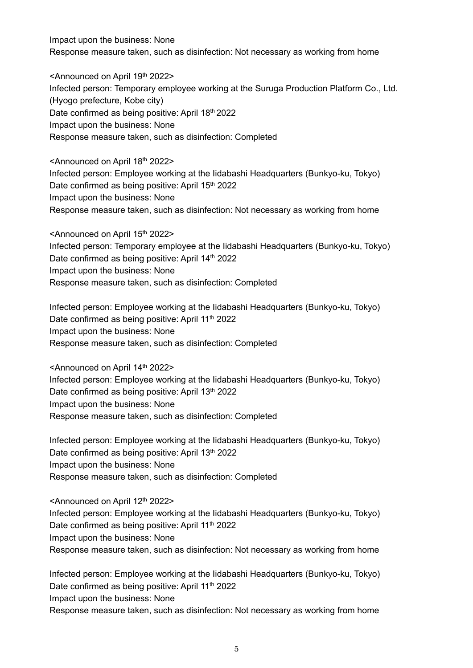Impact upon the business: None Response measure taken, such as disinfection: Not necessary as working from home

<Announced on April 19th 2022> Infected person: Temporary employee working at the Suruga Production Platform Co., Ltd. (Hyogo prefecture, Kobe city) Date confirmed as being positive: April 18th 2022 Impact upon the business: None Response measure taken, such as disinfection: Completed

<Announced on April 18th 2022> Infected person: Employee working at the Iidabashi Headquarters (Bunkyo-ku, Tokyo) Date confirmed as being positive: April 15<sup>th</sup> 2022 Impact upon the business: None Response measure taken, such as disinfection: Not necessary as working from home

<Announced on April 15<sup>th</sup> 2022> Infected person: Temporary employee at the Iidabashi Headquarters (Bunkyo-ku, Tokyo) Date confirmed as being positive: April 14<sup>th</sup> 2022 Impact upon the business: None Response measure taken, such as disinfection: Completed

Infected person: Employee working at the Iidabashi Headquarters (Bunkyo-ku, Tokyo) Date confirmed as being positive: April 11<sup>th</sup> 2022 Impact upon the business: None Response measure taken, such as disinfection: Completed

<Announced on April 14th 2022> Infected person: Employee working at the Iidabashi Headquarters (Bunkyo-ku, Tokyo) Date confirmed as being positive: April 13th 2022 Impact upon the business: None Response measure taken, such as disinfection: Completed

Infected person: Employee working at the Iidabashi Headquarters (Bunkyo-ku, Tokyo) Date confirmed as being positive: April 13th 2022 Impact upon the business: None Response measure taken, such as disinfection: Completed

<Announced on April 12th 2022> Infected person: Employee working at the Iidabashi Headquarters (Bunkyo-ku, Tokyo) Date confirmed as being positive: April 11<sup>th</sup> 2022 Impact upon the business: None Response measure taken, such as disinfection: Not necessary as working from home

Infected person: Employee working at the Iidabashi Headquarters (Bunkyo-ku, Tokyo) Date confirmed as being positive: April 11<sup>th</sup> 2022 Impact upon the business: None Response measure taken, such as disinfection: Not necessary as working from home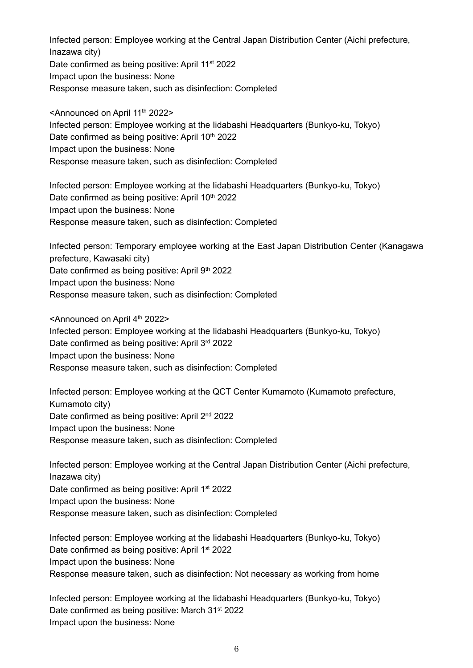Infected person: Employee working at the Central Japan Distribution Center (Aichi prefecture, Inazawa city) Date confirmed as being positive: April 11<sup>st</sup> 2022 Impact upon the business: None Response measure taken, such as disinfection: Completed

<Announced on April 11<sup>th</sup> 2022> Infected person: Employee working at the Iidabashi Headquarters (Bunkyo-ku, Tokyo) Date confirmed as being positive: April 10<sup>th</sup> 2022 Impact upon the business: None Response measure taken, such as disinfection: Completed

Infected person: Employee working at the Iidabashi Headquarters (Bunkyo-ku, Tokyo) Date confirmed as being positive: April 10<sup>th</sup> 2022 Impact upon the business: None Response measure taken, such as disinfection: Completed

Infected person: Temporary employee working at the East Japan Distribution Center (Kanagawa prefecture, Kawasaki city) Date confirmed as being positive: April 9th 2022 Impact upon the business: None Response measure taken, such as disinfection: Completed

<Announced on April 4<sup>th</sup> 2022> Infected person: Employee working at the Iidabashi Headquarters (Bunkyo-ku, Tokyo) Date confirmed as being positive: April 3rd 2022 Impact upon the business: None Response measure taken, such as disinfection: Completed

Infected person: Employee working at the QCT Center Kumamoto (Kumamoto prefecture, Kumamoto city) Date confirmed as being positive: April 2<sup>nd</sup> 2022 Impact upon the business: None Response measure taken, such as disinfection: Completed

Infected person: Employee working at the Central Japan Distribution Center (Aichi prefecture, Inazawa city) Date confirmed as being positive: April 1<sup>st</sup> 2022 Impact upon the business: None Response measure taken, such as disinfection: Completed

Infected person: Employee working at the Iidabashi Headquarters (Bunkyo-ku, Tokyo) Date confirmed as being positive: April 1<sup>st</sup> 2022 Impact upon the business: None Response measure taken, such as disinfection: Not necessary as working from home

Infected person: Employee working at the Iidabashi Headquarters (Bunkyo-ku, Tokyo) Date confirmed as being positive: March 31<sup>st</sup> 2022 Impact upon the business: None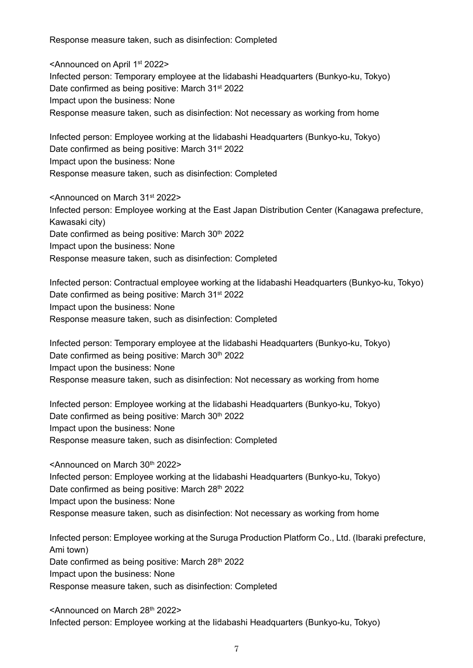Response measure taken, such as disinfection: Completed

<Announced on April 1st 2022> Infected person: Temporary employee at the Iidabashi Headquarters (Bunkyo-ku, Tokyo) Date confirmed as being positive: March 31<sup>st</sup> 2022 Impact upon the business: None Response measure taken, such as disinfection: Not necessary as working from home

Infected person: Employee working at the Iidabashi Headquarters (Bunkyo-ku, Tokyo) Date confirmed as being positive: March 31<sup>st</sup> 2022 Impact upon the business: None Response measure taken, such as disinfection: Completed

<Announced on March 31st 2022> Infected person: Employee working at the East Japan Distribution Center (Kanagawa prefecture, Kawasaki city) Date confirmed as being positive: March 30<sup>th</sup> 2022 Impact upon the business: None Response measure taken, such as disinfection: Completed

Infected person: Contractual employee working at the Iidabashi Headquarters (Bunkyo-ku, Tokyo) Date confirmed as being positive: March 31<sup>st</sup> 2022 Impact upon the business: None Response measure taken, such as disinfection: Completed

Infected person: Temporary employee at the Iidabashi Headquarters (Bunkyo-ku, Tokyo) Date confirmed as being positive: March 30<sup>th</sup> 2022 Impact upon the business: None Response measure taken, such as disinfection: Not necessary as working from home

Infected person: Employee working at the Iidabashi Headquarters (Bunkyo-ku, Tokyo) Date confirmed as being positive: March 30<sup>th</sup> 2022 Impact upon the business: None Response measure taken, such as disinfection: Completed

<Announced on March 30th 2022> Infected person: Employee working at the Iidabashi Headquarters (Bunkyo-ku, Tokyo) Date confirmed as being positive: March 28<sup>th</sup> 2022 Impact upon the business: None Response measure taken, such as disinfection: Not necessary as working from home

Infected person: Employee working at the Suruga Production Platform Co., Ltd. (Ibaraki prefecture, Ami town) Date confirmed as being positive: March 28th 2022 Impact upon the business: None Response measure taken, such as disinfection: Completed

<Announced on March 28th 2022> Infected person: Employee working at the Iidabashi Headquarters (Bunkyo-ku, Tokyo)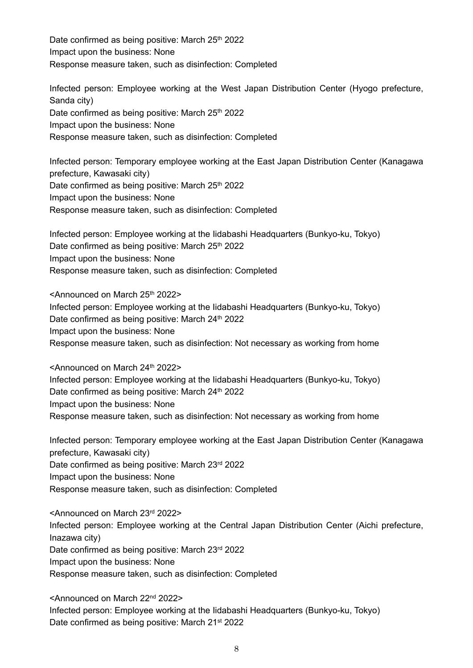Date confirmed as being positive: March 25<sup>th</sup> 2022 Impact upon the business: None Response measure taken, such as disinfection: Completed

Infected person: Employee working at the West Japan Distribution Center (Hyogo prefecture, Sanda city) Date confirmed as being positive: March 25<sup>th</sup> 2022 Impact upon the business: None Response measure taken, such as disinfection: Completed

Infected person: Temporary employee working at the East Japan Distribution Center (Kanagawa prefecture, Kawasaki city) Date confirmed as being positive: March 25<sup>th</sup> 2022 Impact upon the business: None Response measure taken, such as disinfection: Completed

Infected person: Employee working at the Iidabashi Headquarters (Bunkyo-ku, Tokyo) Date confirmed as being positive: March 25th 2022 Impact upon the business: None Response measure taken, such as disinfection: Completed

<Announced on March 25th 2022> Infected person: Employee working at the Iidabashi Headquarters (Bunkyo-ku, Tokyo) Date confirmed as being positive: March 24<sup>th</sup> 2022 Impact upon the business: None Response measure taken, such as disinfection: Not necessary as working from home

<Announced on March 24th 2022> Infected person: Employee working at the Iidabashi Headquarters (Bunkyo-ku, Tokyo) Date confirmed as being positive: March 24<sup>th</sup> 2022 Impact upon the business: None Response measure taken, such as disinfection: Not necessary as working from home

Infected person: Temporary employee working at the East Japan Distribution Center (Kanagawa prefecture, Kawasaki city) Date confirmed as being positive: March 23rd 2022 Impact upon the business: None Response measure taken, such as disinfection: Completed

<Announced on March 23rd 2022> Infected person: Employee working at the Central Japan Distribution Center (Aichi prefecture, Inazawa city) Date confirmed as being positive: March 23rd 2022 Impact upon the business: None Response measure taken, such as disinfection: Completed

<Announced on March 22nd 2022> Infected person: Employee working at the Iidabashi Headquarters (Bunkyo-ku, Tokyo) Date confirmed as being positive: March 21<sup>st</sup> 2022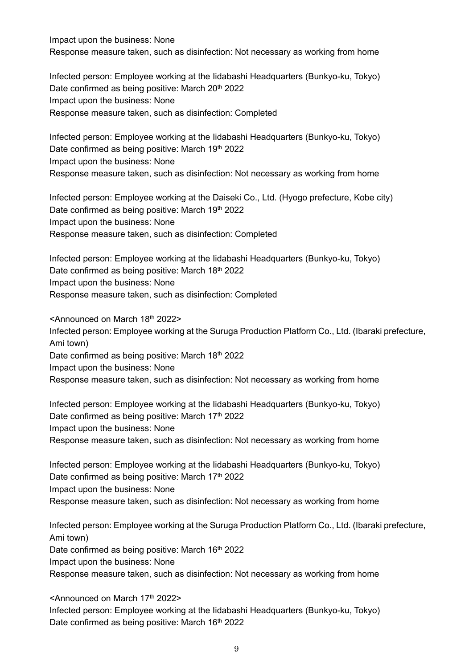Impact upon the business: None Response measure taken, such as disinfection: Not necessary as working from home

Infected person: Employee working at the Iidabashi Headquarters (Bunkyo-ku, Tokyo) Date confirmed as being positive: March 20<sup>th</sup> 2022 Impact upon the business: None Response measure taken, such as disinfection: Completed

Infected person: Employee working at the Iidabashi Headquarters (Bunkyo-ku, Tokyo) Date confirmed as being positive: March 19th 2022 Impact upon the business: None Response measure taken, such as disinfection: Not necessary as working from home

Infected person: Employee working at the Daiseki Co., Ltd. (Hyogo prefecture, Kobe city) Date confirmed as being positive: March 19th 2022 Impact upon the business: None Response measure taken, such as disinfection: Completed

Infected person: Employee working at the Iidabashi Headquarters (Bunkyo-ku, Tokyo) Date confirmed as being positive: March 18th 2022 Impact upon the business: None Response measure taken, such as disinfection: Completed

<Announced on March 18th 2022> Infected person: Employee working at the Suruga Production Platform Co., Ltd. (Ibaraki prefecture, Ami town) Date confirmed as being positive: March 18th 2022 Impact upon the business: None Response measure taken, such as disinfection: Not necessary as working from home

Infected person: Employee working at the Iidabashi Headquarters (Bunkyo-ku, Tokyo) Date confirmed as being positive: March 17<sup>th</sup> 2022 Impact upon the business: None Response measure taken, such as disinfection: Not necessary as working from home

Infected person: Employee working at the Iidabashi Headquarters (Bunkyo-ku, Tokyo) Date confirmed as being positive: March 17<sup>th</sup> 2022 Impact upon the business: None Response measure taken, such as disinfection: Not necessary as working from home

Infected person: Employee working at the Suruga Production Platform Co., Ltd. (Ibaraki prefecture, Ami town) Date confirmed as being positive: March 16<sup>th</sup> 2022 Impact upon the business: None Response measure taken, such as disinfection: Not necessary as working from home

<Announced on March 17th 2022>

Infected person: Employee working at the Iidabashi Headquarters (Bunkyo-ku, Tokyo) Date confirmed as being positive: March 16<sup>th</sup> 2022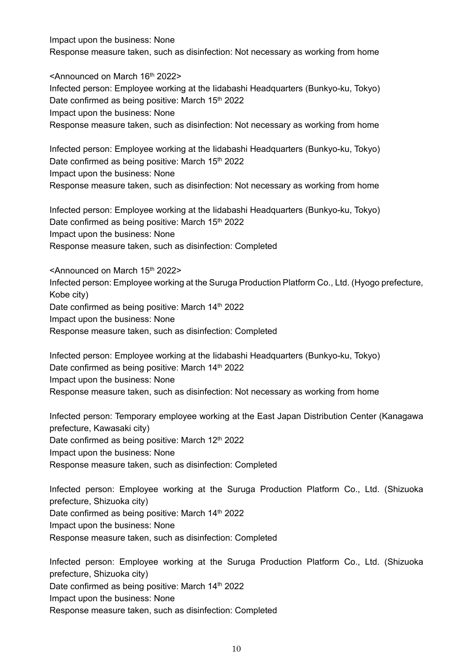Impact upon the business: None Response measure taken, such as disinfection: Not necessary as working from home

<Announced on March 16th 2022> Infected person: Employee working at the Iidabashi Headquarters (Bunkyo-ku, Tokyo) Date confirmed as being positive: March 15<sup>th</sup> 2022 Impact upon the business: None Response measure taken, such as disinfection: Not necessary as working from home

Infected person: Employee working at the Iidabashi Headquarters (Bunkyo-ku, Tokyo) Date confirmed as being positive: March 15<sup>th</sup> 2022 Impact upon the business: None Response measure taken, such as disinfection: Not necessary as working from home

Infected person: Employee working at the Iidabashi Headquarters (Bunkyo-ku, Tokyo) Date confirmed as being positive: March 15<sup>th</sup> 2022 Impact upon the business: None Response measure taken, such as disinfection: Completed

<Announced on March 15th 2022> Infected person: Employee working at the Suruga Production Platform Co., Ltd. (Hyogo prefecture, Kobe city) Date confirmed as being positive: March 14<sup>th</sup> 2022 Impact upon the business: None Response measure taken, such as disinfection: Completed

Infected person: Employee working at the Iidabashi Headquarters (Bunkyo-ku, Tokyo) Date confirmed as being positive: March 14<sup>th</sup> 2022 Impact upon the business: None Response measure taken, such as disinfection: Not necessary as working from home

Infected person: Temporary employee working at the East Japan Distribution Center (Kanagawa prefecture, Kawasaki city)

Date confirmed as being positive: March 12th 2022

Impact upon the business: None

Response measure taken, such as disinfection: Completed

Infected person: Employee working at the Suruga Production Platform Co., Ltd. (Shizuoka prefecture, Shizuoka city) Date confirmed as being positive: March 14<sup>th</sup> 2022 Impact upon the business: None Response measure taken, such as disinfection: Completed

Infected person: Employee working at the Suruga Production Platform Co., Ltd. (Shizuoka prefecture, Shizuoka city) Date confirmed as being positive: March 14<sup>th</sup> 2022 Impact upon the business: None Response measure taken, such as disinfection: Completed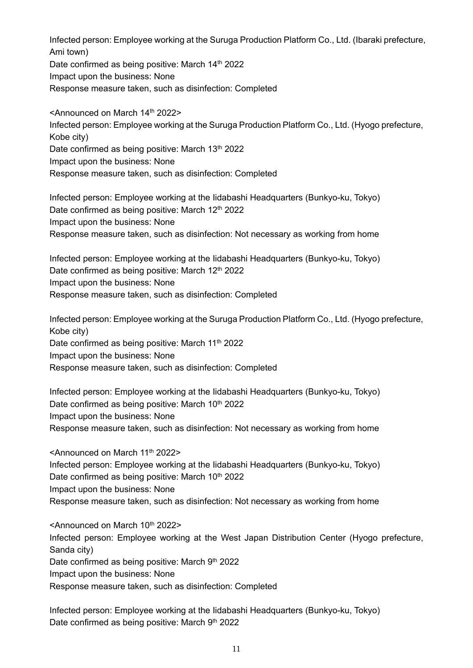Infected person: Employee working at the Suruga Production Platform Co., Ltd. (Ibaraki prefecture, Ami town) Date confirmed as being positive: March 14<sup>th</sup> 2022 Impact upon the business: None

Response measure taken, such as disinfection: Completed

<Announced on March 14th 2022> Infected person: Employee working at the Suruga Production Platform Co., Ltd. (Hyogo prefecture, Kobe city) Date confirmed as being positive: March 13th 2022 Impact upon the business: None Response measure taken, such as disinfection: Completed

Infected person: Employee working at the Iidabashi Headquarters (Bunkyo-ku, Tokyo) Date confirmed as being positive: March 12<sup>th</sup> 2022 Impact upon the business: None Response measure taken, such as disinfection: Not necessary as working from home

Infected person: Employee working at the Iidabashi Headquarters (Bunkyo-ku, Tokyo) Date confirmed as being positive: March 12<sup>th</sup> 2022 Impact upon the business: None Response measure taken, such as disinfection: Completed

Infected person: Employee working at the Suruga Production Platform Co., Ltd. (Hyogo prefecture, Kobe city) Date confirmed as being positive: March 11<sup>th</sup> 2022 Impact upon the business: None Response measure taken, such as disinfection: Completed

Infected person: Employee working at the Iidabashi Headquarters (Bunkyo-ku, Tokyo) Date confirmed as being positive: March 10th 2022 Impact upon the business: None Response measure taken, such as disinfection: Not necessary as working from home

<Announced on March 11th 2022> Infected person: Employee working at the Iidabashi Headquarters (Bunkyo-ku, Tokyo) Date confirmed as being positive: March 10<sup>th</sup> 2022 Impact upon the business: None Response measure taken, such as disinfection: Not necessary as working from home

<Announced on March 10th 2022> Infected person: Employee working at the West Japan Distribution Center (Hyogo prefecture, Sanda city) Date confirmed as being positive: March 9th 2022 Impact upon the business: None Response measure taken, such as disinfection: Completed

Infected person: Employee working at the Iidabashi Headquarters (Bunkyo-ku, Tokyo) Date confirmed as being positive: March 9th 2022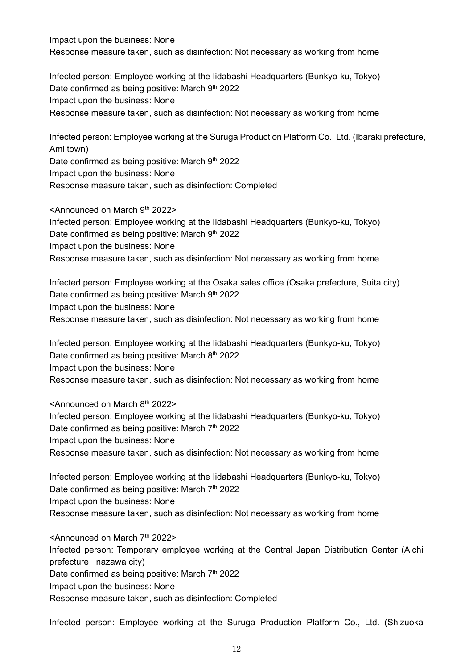Impact upon the business: None Response measure taken, such as disinfection: Not necessary as working from home

Infected person: Employee working at the Iidabashi Headquarters (Bunkyo-ku, Tokyo) Date confirmed as being positive: March  $9<sup>th</sup>$  2022 Impact upon the business: None Response measure taken, such as disinfection: Not necessary as working from home

Infected person: Employee working at the Suruga Production Platform Co., Ltd. (Ibaraki prefecture, Ami town) Date confirmed as being positive: March 9th 2022 Impact upon the business: None Response measure taken, such as disinfection: Completed

<Announced on March 9th 2022> Infected person: Employee working at the Iidabashi Headquarters (Bunkyo-ku, Tokyo) Date confirmed as being positive: March  $9<sup>th</sup> 2022$ Impact upon the business: None Response measure taken, such as disinfection: Not necessary as working from home

Infected person: Employee working at the Osaka sales office (Osaka prefecture, Suita city) Date confirmed as being positive: March  $9<sup>th</sup> 2022$ Impact upon the business: None Response measure taken, such as disinfection: Not necessary as working from home

Infected person: Employee working at the Iidabashi Headquarters (Bunkyo-ku, Tokyo) Date confirmed as being positive: March  $8<sup>th</sup>$  2022 Impact upon the business: None Response measure taken, such as disinfection: Not necessary as working from home

<Announced on March 8th 2022> Infected person: Employee working at the Iidabashi Headquarters (Bunkyo-ku, Tokyo) Date confirmed as being positive: March  $7<sup>th</sup>$  2022 Impact upon the business: None Response measure taken, such as disinfection: Not necessary as working from home

Infected person: Employee working at the Iidabashi Headquarters (Bunkyo-ku, Tokyo) Date confirmed as being positive: March  $7<sup>th</sup>$  2022 Impact upon the business: None Response measure taken, such as disinfection: Not necessary as working from home

<Announced on March 7th 2022> Infected person: Temporary employee working at the Central Japan Distribution Center (Aichi prefecture, Inazawa city) Date confirmed as being positive: March 7<sup>th</sup> 2022 Impact upon the business: None Response measure taken, such as disinfection: Completed

Infected person: Employee working at the Suruga Production Platform Co., Ltd. (Shizuoka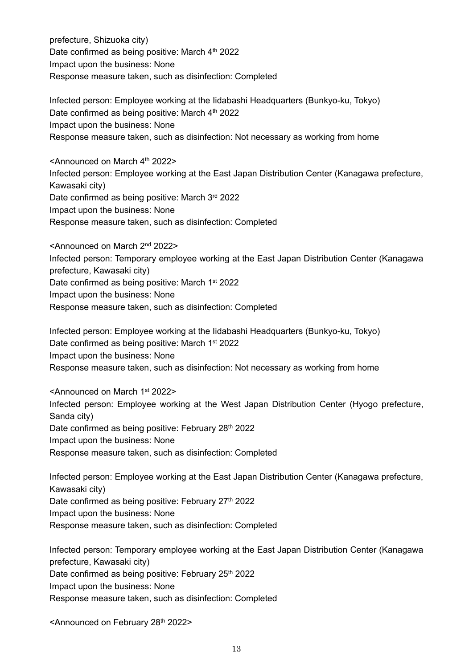prefecture, Shizuoka city) Date confirmed as being positive: March 4th 2022 Impact upon the business: None Response measure taken, such as disinfection: Completed

Infected person: Employee working at the Iidabashi Headquarters (Bunkyo-ku, Tokyo) Date confirmed as being positive: March  $4<sup>th</sup>$  2022 Impact upon the business: None Response measure taken, such as disinfection: Not necessary as working from home

<Announced on March 4<sup>th</sup> 2022> Infected person: Employee working at the East Japan Distribution Center (Kanagawa prefecture, Kawasaki city) Date confirmed as being positive: March 3rd 2022 Impact upon the business: None Response measure taken, such as disinfection: Completed

<Announced on March 2nd 2022> Infected person: Temporary employee working at the East Japan Distribution Center (Kanagawa prefecture, Kawasaki city) Date confirmed as being positive: March 1<sup>st</sup> 2022 Impact upon the business: None Response measure taken, such as disinfection: Completed

Infected person: Employee working at the Iidabashi Headquarters (Bunkyo-ku, Tokyo) Date confirmed as being positive: March 1<sup>st</sup> 2022 Impact upon the business: None Response measure taken, such as disinfection: Not necessary as working from home

<Announced on March 1st 2022> Infected person: Employee working at the West Japan Distribution Center (Hyogo prefecture, Sanda city) Date confirmed as being positive: February 28<sup>th</sup> 2022 Impact upon the business: None Response measure taken, such as disinfection: Completed

Infected person: Employee working at the East Japan Distribution Center (Kanagawa prefecture, Kawasaki city) Date confirmed as being positive: February 27<sup>th</sup> 2022 Impact upon the business: None Response measure taken, such as disinfection: Completed

Infected person: Temporary employee working at the East Japan Distribution Center (Kanagawa prefecture, Kawasaki city) Date confirmed as being positive: February 25<sup>th</sup> 2022 Impact upon the business: None Response measure taken, such as disinfection: Completed

<Announced on February 28<sup>th</sup> 2022>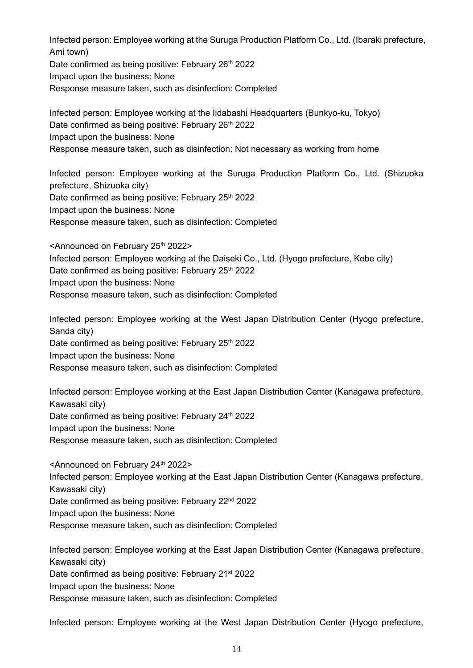Infected person: Employee working at the Suruga Production Platform Co., Ltd. (Ibaraki prefecture, Ami town)

Date confirmed as being positive: February 26th 2022

Impact upon the business: None

Response measure taken, such as disinfection: Completed

Infected person: Employee working at the Iidabashi Headquarters (Bunkyo-ku, Tokyo) Date confirmed as being positive: February 26<sup>th</sup> 2022 Impact upon the business: None Response measure taken, such as disinfection: Not necessary as working from home

Infected person: Employee working at the Suruga Production Platform Co., Ltd. (Shizuoka prefecture, Shizuoka city) Date confirmed as being positive: February 25<sup>th</sup> 2022

Impact upon the business: None

Response measure taken, such as disinfection: Completed

<Announced on February 25<sup>th</sup> 2022>

Infected person: Employee working at the Daiseki Co., Ltd. (Hyogo prefecture, Kobe city)

Date confirmed as being positive: February 25<sup>th</sup> 2022

Impact upon the business: None

Response measure taken, such as disinfection: Completed

Infected person: Employee working at the West Japan Distribution Center (Hyogo prefecture, Sanda city)

Date confirmed as being positive: February 25th 2022

Impact upon the business: None

Response measure taken, such as disinfection: Completed

Infected person: Employee working at the East Japan Distribution Center (Kanagawa prefecture, Kawasaki city)

Date confirmed as being positive: February 24<sup>th</sup> 2022

Impact upon the business: None

Response measure taken, such as disinfection: Completed

<Announced on February 24th 2022> Infected person: Employee working at the East Japan Distribution Center (Kanagawa prefecture, Kawasaki city)

Date confirmed as being positive: February 22<sup>nd</sup> 2022

Impact upon the business: None

Response measure taken, such as disinfection: Completed

Infected person: Employee working at the East Japan Distribution Center (Kanagawa prefecture, Kawasaki city) Date confirmed as being positive: February 21<sup>st</sup> 2022 Impact upon the business: None Response measure taken, such as disinfection: Completed

Infected person: Employee working at the West Japan Distribution Center (Hyogo prefecture,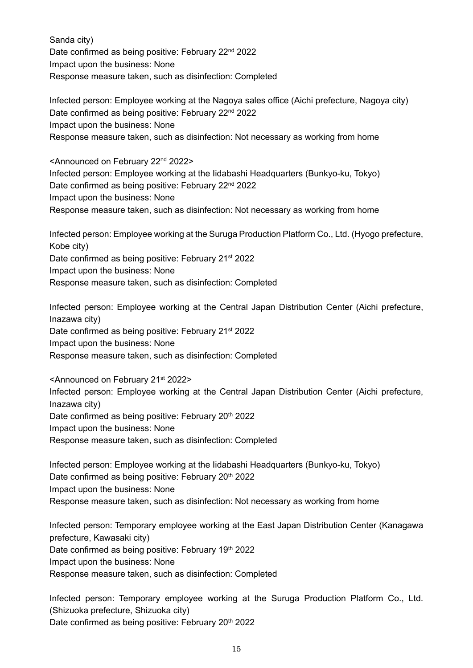Sanda city) Date confirmed as being positive: February 22<sup>nd</sup> 2022 Impact upon the business: None Response measure taken, such as disinfection: Completed

Infected person: Employee working at the Nagoya sales office (Aichi prefecture, Nagoya city) Date confirmed as being positive: February 22<sup>nd</sup> 2022 Impact upon the business: None Response measure taken, such as disinfection: Not necessary as working from home

<Announced on February 22nd 2022> Infected person: Employee working at the Iidabashi Headquarters (Bunkyo-ku, Tokyo) Date confirmed as being positive: February 22<sup>nd</sup> 2022 Impact upon the business: None Response measure taken, such as disinfection: Not necessary as working from home

Infected person: Employee working at the Suruga Production Platform Co., Ltd. (Hyogo prefecture, Kobe city) Date confirmed as being positive: February 21<sup>st</sup> 2022 Impact upon the business: None Response measure taken, such as disinfection: Completed

Infected person: Employee working at the Central Japan Distribution Center (Aichi prefecture, Inazawa city) Date confirmed as being positive: February 21<sup>st</sup> 2022 Impact upon the business: None Response measure taken, such as disinfection: Completed

<Announced on February 21st 2022> Infected person: Employee working at the Central Japan Distribution Center (Aichi prefecture, Inazawa city) Date confirmed as being positive: February 20<sup>th</sup> 2022 Impact upon the business: None Response measure taken, such as disinfection: Completed

Infected person: Employee working at the Iidabashi Headquarters (Bunkyo-ku, Tokyo) Date confirmed as being positive: February 20<sup>th</sup> 2022 Impact upon the business: None Response measure taken, such as disinfection: Not necessary as working from home

Infected person: Temporary employee working at the East Japan Distribution Center (Kanagawa prefecture, Kawasaki city) Date confirmed as being positive: February 19<sup>th</sup> 2022 Impact upon the business: None Response measure taken, such as disinfection: Completed

Infected person: Temporary employee working at the Suruga Production Platform Co., Ltd. (Shizuoka prefecture, Shizuoka city) Date confirmed as being positive: February 20<sup>th</sup> 2022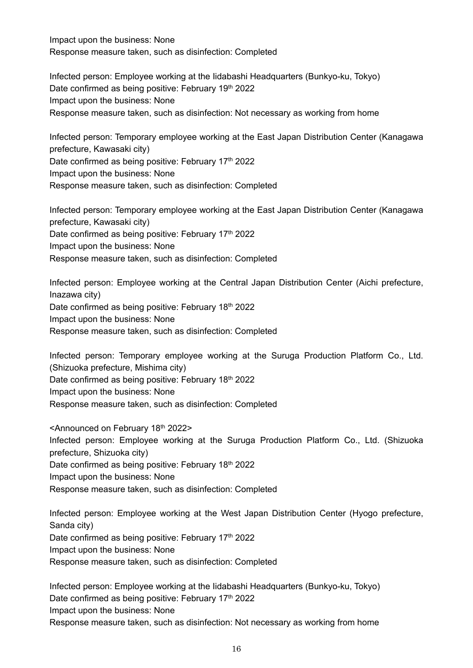Impact upon the business: None Response measure taken, such as disinfection: Completed

Infected person: Employee working at the Iidabashi Headquarters (Bunkyo-ku, Tokyo) Date confirmed as being positive: February 19th 2022 Impact upon the business: None Response measure taken, such as disinfection: Not necessary as working from home

Infected person: Temporary employee working at the East Japan Distribution Center (Kanagawa prefecture, Kawasaki city) Date confirmed as being positive: February 17<sup>th</sup> 2022

Impact upon the business: None

Response measure taken, such as disinfection: Completed

Infected person: Temporary employee working at the East Japan Distribution Center (Kanagawa prefecture, Kawasaki city) Date confirmed as being positive: February 17<sup>th</sup> 2022 Impact upon the business: None Response measure taken, such as disinfection: Completed

Infected person: Employee working at the Central Japan Distribution Center (Aichi prefecture, Inazawa city) Date confirmed as being positive: February 18th 2022 Impact upon the business: None Response measure taken, such as disinfection: Completed

Infected person: Temporary employee working at the Suruga Production Platform Co., Ltd. (Shizuoka prefecture, Mishima city) Date confirmed as being positive: February 18th 2022 Impact upon the business: None Response measure taken, such as disinfection: Completed

<Announced on February 18th 2022> Infected person: Employee working at the Suruga Production Platform Co., Ltd. (Shizuoka prefecture, Shizuoka city) Date confirmed as being positive: February 18th 2022 Impact upon the business: None Response measure taken, such as disinfection: Completed

Infected person: Employee working at the West Japan Distribution Center (Hyogo prefecture, Sanda city) Date confirmed as being positive: February 17<sup>th</sup> 2022 Impact upon the business: None Response measure taken, such as disinfection: Completed

Infected person: Employee working at the Iidabashi Headquarters (Bunkyo-ku, Tokyo) Date confirmed as being positive: February 17<sup>th</sup> 2022 Impact upon the business: None Response measure taken, such as disinfection: Not necessary as working from home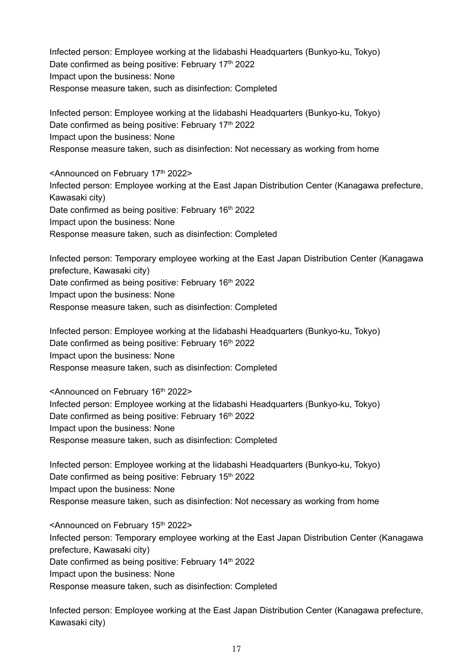Infected person: Employee working at the Iidabashi Headquarters (Bunkyo-ku, Tokyo) Date confirmed as being positive: February 17<sup>th</sup> 2022 Impact upon the business: None Response measure taken, such as disinfection: Completed

Infected person: Employee working at the Iidabashi Headquarters (Bunkyo-ku, Tokyo) Date confirmed as being positive: February 17<sup>th</sup> 2022 Impact upon the business: None Response measure taken, such as disinfection: Not necessary as working from home

<Announced on February 17th 2022> Infected person: Employee working at the East Japan Distribution Center (Kanagawa prefecture, Kawasaki city) Date confirmed as being positive: February 16<sup>th</sup> 2022 Impact upon the business: None Response measure taken, such as disinfection: Completed

Infected person: Temporary employee working at the East Japan Distribution Center (Kanagawa prefecture, Kawasaki city) Date confirmed as being positive: February 16<sup>th</sup> 2022 Impact upon the business: None Response measure taken, such as disinfection: Completed

Infected person: Employee working at the Iidabashi Headquarters (Bunkyo-ku, Tokyo) Date confirmed as being positive: February 16<sup>th</sup> 2022 Impact upon the business: None Response measure taken, such as disinfection: Completed

<Announced on February 16th 2022> Infected person: Employee working at the Iidabashi Headquarters (Bunkyo-ku, Tokyo) Date confirmed as being positive: February 16<sup>th</sup> 2022 Impact upon the business: None Response measure taken, such as disinfection: Completed

Infected person: Employee working at the Iidabashi Headquarters (Bunkyo-ku, Tokyo) Date confirmed as being positive: February 15<sup>th</sup> 2022 Impact upon the business: None Response measure taken, such as disinfection: Not necessary as working from home

<Announced on February 15<sup>th</sup> 2022> Infected person: Temporary employee working at the East Japan Distribution Center (Kanagawa prefecture, Kawasaki city) Date confirmed as being positive: February 14<sup>th</sup> 2022 Impact upon the business: None Response measure taken, such as disinfection: Completed

Infected person: Employee working at the East Japan Distribution Center (Kanagawa prefecture, Kawasaki city)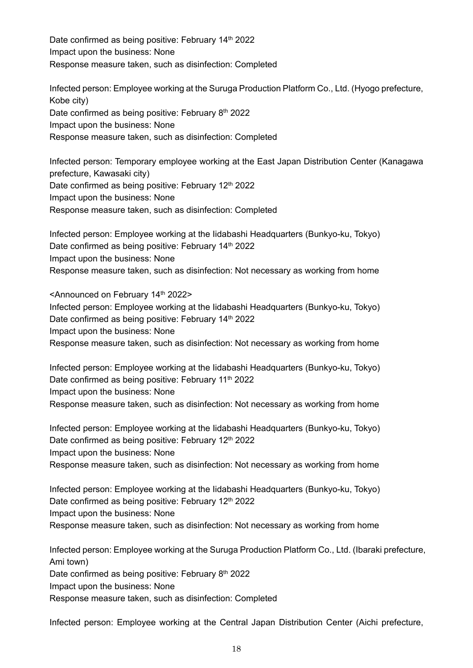Date confirmed as being positive: February 14<sup>th</sup> 2022 Impact upon the business: None Response measure taken, such as disinfection: Completed

Infected person: Employee working at the Suruga Production Platform Co., Ltd. (Hyogo prefecture, Kobe city) Date confirmed as being positive: February 8<sup>th</sup> 2022 Impact upon the business: None Response measure taken, such as disinfection: Completed

Infected person: Temporary employee working at the East Japan Distribution Center (Kanagawa prefecture, Kawasaki city) Date confirmed as being positive: February 12<sup>th</sup> 2022 Impact upon the business: None Response measure taken, such as disinfection: Completed

Infected person: Employee working at the Iidabashi Headquarters (Bunkyo-ku, Tokyo) Date confirmed as being positive: February 14<sup>th</sup> 2022 Impact upon the business: None Response measure taken, such as disinfection: Not necessary as working from home

<Announced on February 14<sup>th</sup> 2022> Infected person: Employee working at the Iidabashi Headquarters (Bunkyo-ku, Tokyo) Date confirmed as being positive: February 14<sup>th</sup> 2022 Impact upon the business: None Response measure taken, such as disinfection: Not necessary as working from home

Infected person: Employee working at the Iidabashi Headquarters (Bunkyo-ku, Tokyo) Date confirmed as being positive: February 11<sup>th</sup> 2022 Impact upon the business: None Response measure taken, such as disinfection: Not necessary as working from home

Infected person: Employee working at the Iidabashi Headquarters (Bunkyo-ku, Tokyo) Date confirmed as being positive: February 12th 2022 Impact upon the business: None Response measure taken, such as disinfection: Not necessary as working from home

Infected person: Employee working at the Iidabashi Headquarters (Bunkyo-ku, Tokyo) Date confirmed as being positive: February 12<sup>th</sup> 2022 Impact upon the business: None Response measure taken, such as disinfection: Not necessary as working from home

Infected person: Employee working at the Suruga Production Platform Co., Ltd. (Ibaraki prefecture, Ami town) Date confirmed as being positive: February 8<sup>th</sup> 2022 Impact upon the business: None Response measure taken, such as disinfection: Completed

Infected person: Employee working at the Central Japan Distribution Center (Aichi prefecture,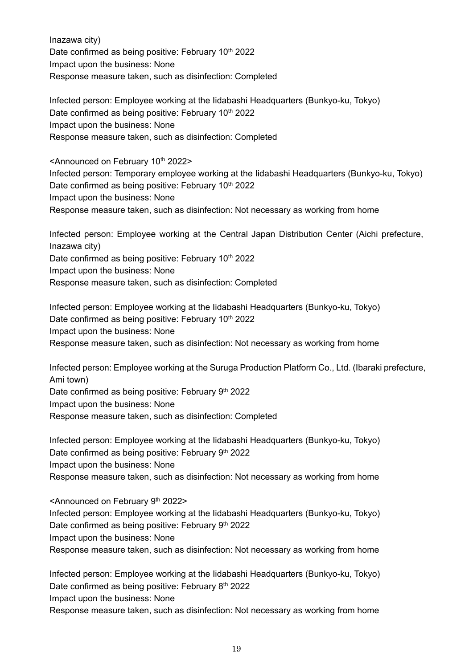Inazawa city) Date confirmed as being positive: February 10<sup>th</sup> 2022 Impact upon the business: None Response measure taken, such as disinfection: Completed

Infected person: Employee working at the Iidabashi Headquarters (Bunkyo-ku, Tokyo) Date confirmed as being positive: February 10<sup>th</sup> 2022 Impact upon the business: None Response measure taken, such as disinfection: Completed

<Announced on February 10<sup>th</sup> 2022> Infected person: Temporary employee working at the Iidabashi Headquarters (Bunkyo-ku, Tokyo) Date confirmed as being positive: February 10<sup>th</sup> 2022 Impact upon the business: None Response measure taken, such as disinfection: Not necessary as working from home

Infected person: Employee working at the Central Japan Distribution Center (Aichi prefecture, Inazawa city) Date confirmed as being positive: February 10<sup>th</sup> 2022 Impact upon the business: None Response measure taken, such as disinfection: Completed

Infected person: Employee working at the Iidabashi Headquarters (Bunkyo-ku, Tokyo) Date confirmed as being positive: February 10<sup>th</sup> 2022 Impact upon the business: None Response measure taken, such as disinfection: Not necessary as working from home

Infected person: Employee working at the Suruga Production Platform Co., Ltd. (Ibaraki prefecture, Ami town) Date confirmed as being positive: February 9<sup>th</sup> 2022 Impact upon the business: None Response measure taken, such as disinfection: Completed

Infected person: Employee working at the Iidabashi Headquarters (Bunkyo-ku, Tokyo) Date confirmed as being positive: February 9th 2022 Impact upon the business: None Response measure taken, such as disinfection: Not necessary as working from home

<Announced on February 9th 2022> Infected person: Employee working at the Iidabashi Headquarters (Bunkyo-ku, Tokyo) Date confirmed as being positive: February 9th 2022 Impact upon the business: None Response measure taken, such as disinfection: Not necessary as working from home

Infected person: Employee working at the Iidabashi Headquarters (Bunkyo-ku, Tokyo) Date confirmed as being positive: February 8<sup>th</sup> 2022 Impact upon the business: None Response measure taken, such as disinfection: Not necessary as working from home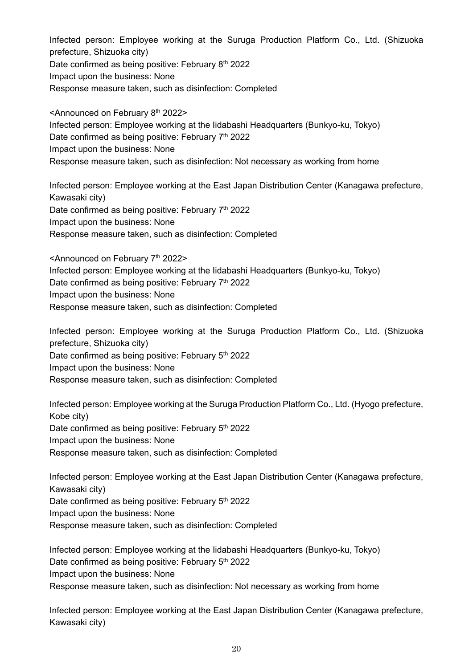Infected person: Employee working at the Suruga Production Platform Co., Ltd. (Shizuoka prefecture, Shizuoka city) Date confirmed as being positive: February 8<sup>th</sup> 2022 Impact upon the business: None Response measure taken, such as disinfection: Completed

<Announced on February 8<sup>th</sup> 2022> Infected person: Employee working at the Iidabashi Headquarters (Bunkyo-ku, Tokyo) Date confirmed as being positive: February 7<sup>th</sup> 2022 Impact upon the business: None Response measure taken, such as disinfection: Not necessary as working from home

Infected person: Employee working at the East Japan Distribution Center (Kanagawa prefecture, Kawasaki city) Date confirmed as being positive: February 7<sup>th</sup> 2022 Impact upon the business: None Response measure taken, such as disinfection: Completed

<Announced on February 7th 2022> Infected person: Employee working at the Iidabashi Headquarters (Bunkyo-ku, Tokyo) Date confirmed as being positive: February 7<sup>th</sup> 2022 Impact upon the business: None Response measure taken, such as disinfection: Completed

Infected person: Employee working at the Suruga Production Platform Co., Ltd. (Shizuoka prefecture, Shizuoka city) Date confirmed as being positive: February 5<sup>th</sup> 2022 Impact upon the business: None Response measure taken, such as disinfection: Completed

Infected person: Employee working at the Suruga Production Platform Co., Ltd. (Hyogo prefecture, Kobe city) Date confirmed as being positive: February 5<sup>th</sup> 2022 Impact upon the business: None Response measure taken, such as disinfection: Completed

Infected person: Employee working at the East Japan Distribution Center (Kanagawa prefecture, Kawasaki city) Date confirmed as being positive: February 5<sup>th</sup> 2022 Impact upon the business: None Response measure taken, such as disinfection: Completed

Infected person: Employee working at the Iidabashi Headquarters (Bunkyo-ku, Tokyo) Date confirmed as being positive: February 5<sup>th</sup> 2022 Impact upon the business: None Response measure taken, such as disinfection: Not necessary as working from home

Infected person: Employee working at the East Japan Distribution Center (Kanagawa prefecture, Kawasaki city)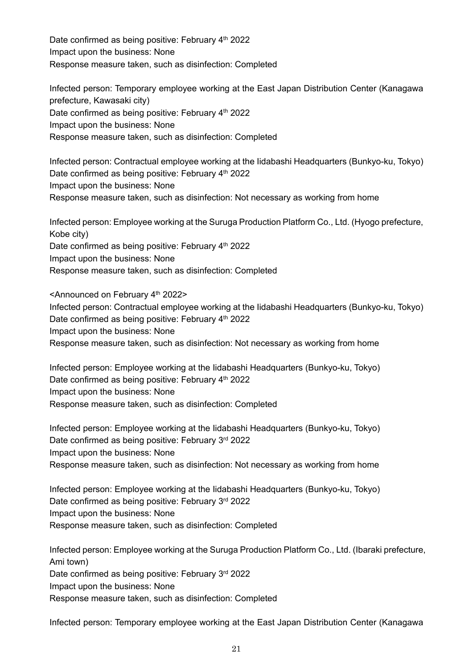Date confirmed as being positive: February 4<sup>th</sup> 2022 Impact upon the business: None Response measure taken, such as disinfection: Completed

Infected person: Temporary employee working at the East Japan Distribution Center (Kanagawa prefecture, Kawasaki city) Date confirmed as being positive: February 4<sup>th</sup> 2022 Impact upon the business: None Response measure taken, such as disinfection: Completed

Infected person: Contractual employee working at the Iidabashi Headquarters (Bunkyo-ku, Tokyo) Date confirmed as being positive: February 4<sup>th</sup> 2022 Impact upon the business: None Response measure taken, such as disinfection: Not necessary as working from home

Infected person: Employee working at the Suruga Production Platform Co., Ltd. (Hyogo prefecture, Kobe city) Date confirmed as being positive: February 4<sup>th</sup> 2022 Impact upon the business: None Response measure taken, such as disinfection: Completed

<Announced on February 4th 2022> Infected person: Contractual employee working at the Iidabashi Headquarters (Bunkyo-ku, Tokyo) Date confirmed as being positive: February 4<sup>th</sup> 2022 Impact upon the business: None Response measure taken, such as disinfection: Not necessary as working from home

Infected person: Employee working at the Iidabashi Headquarters (Bunkyo-ku, Tokyo) Date confirmed as being positive: February 4<sup>th</sup> 2022 Impact upon the business: None Response measure taken, such as disinfection: Completed

Infected person: Employee working at the Iidabashi Headquarters (Bunkyo-ku, Tokyo) Date confirmed as being positive: February 3rd 2022 Impact upon the business: None Response measure taken, such as disinfection: Not necessary as working from home

Infected person: Employee working at the Iidabashi Headquarters (Bunkyo-ku, Tokyo) Date confirmed as being positive: February 3rd 2022 Impact upon the business: None Response measure taken, such as disinfection: Completed

Infected person: Employee working at the Suruga Production Platform Co., Ltd. (Ibaraki prefecture, Ami town) Date confirmed as being positive: February 3rd 2022 Impact upon the business: None Response measure taken, such as disinfection: Completed

Infected person: Temporary employee working at the East Japan Distribution Center (Kanagawa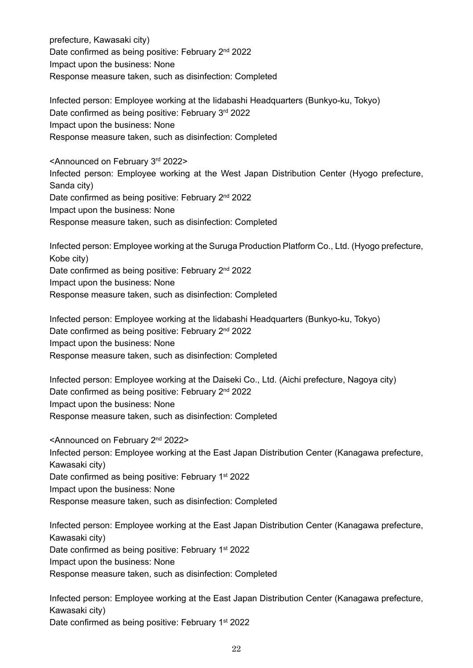prefecture, Kawasaki city) Date confirmed as being positive: February 2<sup>nd</sup> 2022 Impact upon the business: None Response measure taken, such as disinfection: Completed

Infected person: Employee working at the Iidabashi Headquarters (Bunkyo-ku, Tokyo) Date confirmed as being positive: February 3rd 2022 Impact upon the business: None Response measure taken, such as disinfection: Completed

<Announced on February 3rd 2022> Infected person: Employee working at the West Japan Distribution Center (Hyogo prefecture, Sanda city) Date confirmed as being positive: February 2<sup>nd</sup> 2022 Impact upon the business: None Response measure taken, such as disinfection: Completed

Infected person: Employee working at the Suruga Production Platform Co., Ltd. (Hyogo prefecture, Kobe city) Date confirmed as being positive: February 2<sup>nd</sup> 2022 Impact upon the business: None Response measure taken, such as disinfection: Completed

Infected person: Employee working at the Iidabashi Headquarters (Bunkyo-ku, Tokyo) Date confirmed as being positive: February 2<sup>nd</sup> 2022 Impact upon the business: None Response measure taken, such as disinfection: Completed

Infected person: Employee working at the Daiseki Co., Ltd. (Aichi prefecture, Nagoya city) Date confirmed as being positive: February 2<sup>nd</sup> 2022 Impact upon the business: None Response measure taken, such as disinfection: Completed

<Announced on February 2nd 2022> Infected person: Employee working at the East Japan Distribution Center (Kanagawa prefecture, Kawasaki city) Date confirmed as being positive: February 1<sup>st</sup> 2022 Impact upon the business: None Response measure taken, such as disinfection: Completed

Infected person: Employee working at the East Japan Distribution Center (Kanagawa prefecture, Kawasaki city) Date confirmed as being positive: February 1<sup>st</sup> 2022 Impact upon the business: None Response measure taken, such as disinfection: Completed

Infected person: Employee working at the East Japan Distribution Center (Kanagawa prefecture, Kawasaki city) Date confirmed as being positive: February 1<sup>st</sup> 2022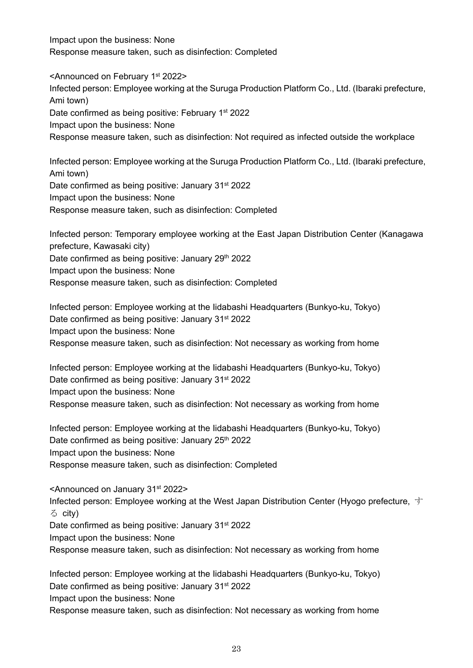Impact upon the business: None Response measure taken, such as disinfection: Completed

<Announced on February 1st 2022> Infected person: Employee working at the Suruga Production Platform Co., Ltd. (Ibaraki prefecture, Ami town) Date confirmed as being positive: February 1<sup>st</sup> 2022 Impact upon the business: None Response measure taken, such as disinfection: Not required as infected outside the workplace

Infected person: Employee working at the Suruga Production Platform Co., Ltd. (Ibaraki prefecture, Ami town) Date confirmed as being positive: January 31<sup>st</sup> 2022 Impact upon the business: None Response measure taken, such as disinfection: Completed

Infected person: Temporary employee working at the East Japan Distribution Center (Kanagawa prefecture, Kawasaki city) Date confirmed as being positive: January 29th 2022 Impact upon the business: None Response measure taken, such as disinfection: Completed

Infected person: Employee working at the Iidabashi Headquarters (Bunkyo-ku, Tokyo) Date confirmed as being positive: January 31<sup>st</sup> 2022 Impact upon the business: None Response measure taken, such as disinfection: Not necessary as working from home

Infected person: Employee working at the Iidabashi Headquarters (Bunkyo-ku, Tokyo) Date confirmed as being positive: January 31<sup>st</sup> 2022 Impact upon the business: None Response measure taken, such as disinfection: Not necessary as working from home

Infected person: Employee working at the Iidabashi Headquarters (Bunkyo-ku, Tokyo) Date confirmed as being positive: January 25<sup>th</sup> 2022 Impact upon the business: None Response measure taken, such as disinfection: Completed

<Announced on January 31st 2022> Infected person: Employee working at the West Japan Distribution Center (Hyogo prefecture, す る city)

Date confirmed as being positive: January 31<sup>st</sup> 2022

Impact upon the business: None

Response measure taken, such as disinfection: Not necessary as working from home

Infected person: Employee working at the Iidabashi Headquarters (Bunkyo-ku, Tokyo) Date confirmed as being positive: January 31<sup>st</sup> 2022 Impact upon the business: None Response measure taken, such as disinfection: Not necessary as working from home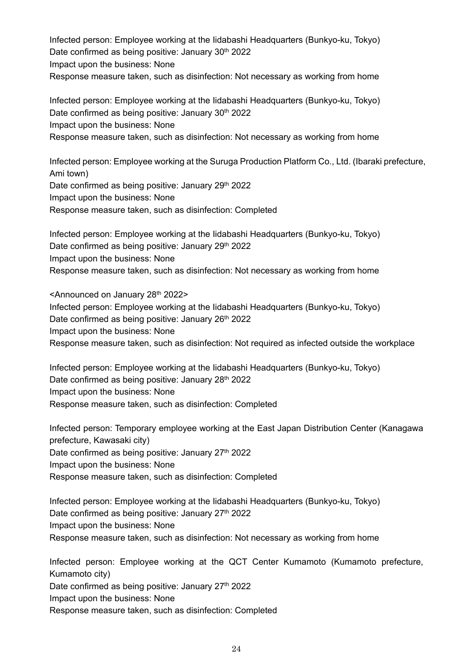Infected person: Employee working at the Iidabashi Headquarters (Bunkyo-ku, Tokyo) Date confirmed as being positive: January 30<sup>th</sup> 2022 Impact upon the business: None Response measure taken, such as disinfection: Not necessary as working from home

Infected person: Employee working at the Iidabashi Headquarters (Bunkyo-ku, Tokyo) Date confirmed as being positive: January 30<sup>th</sup> 2022 Impact upon the business: None Response measure taken, such as disinfection: Not necessary as working from home

Infected person: Employee working at the Suruga Production Platform Co., Ltd. (Ibaraki prefecture, Ami town) Date confirmed as being positive: January 29th 2022 Impact upon the business: None Response measure taken, such as disinfection: Completed

Infected person: Employee working at the Iidabashi Headquarters (Bunkyo-ku, Tokyo) Date confirmed as being positive: January 29th 2022 Impact upon the business: None Response measure taken, such as disinfection: Not necessary as working from home

<Announced on January 28th 2022> Infected person: Employee working at the Iidabashi Headquarters (Bunkyo-ku, Tokyo) Date confirmed as being positive: January 26<sup>th</sup> 2022 Impact upon the business: None Response measure taken, such as disinfection: Not required as infected outside the workplace

Infected person: Employee working at the Iidabashi Headquarters (Bunkyo-ku, Tokyo) Date confirmed as being positive: January 28<sup>th</sup> 2022 Impact upon the business: None Response measure taken, such as disinfection: Completed

Infected person: Temporary employee working at the East Japan Distribution Center (Kanagawa prefecture, Kawasaki city) Date confirmed as being positive: January 27<sup>th</sup> 2022 Impact upon the business: None Response measure taken, such as disinfection: Completed

Infected person: Employee working at the Iidabashi Headquarters (Bunkyo-ku, Tokyo) Date confirmed as being positive: January 27<sup>th</sup> 2022 Impact upon the business: None Response measure taken, such as disinfection: Not necessary as working from home

Infected person: Employee working at the QCT Center Kumamoto (Kumamoto prefecture, Kumamoto city) Date confirmed as being positive: January 27<sup>th</sup> 2022 Impact upon the business: None Response measure taken, such as disinfection: Completed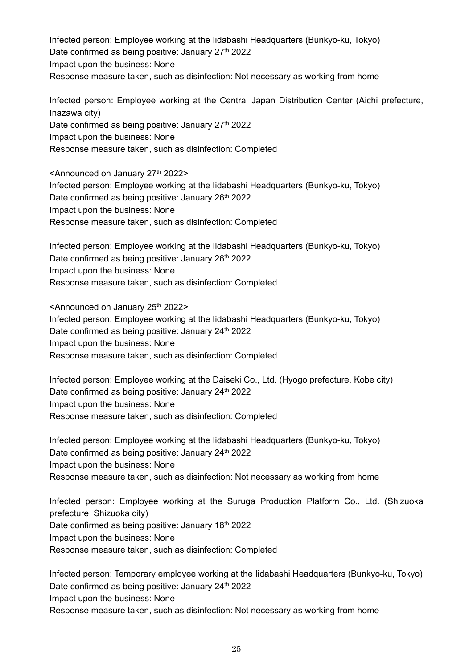Infected person: Employee working at the Iidabashi Headquarters (Bunkyo-ku, Tokyo) Date confirmed as being positive: January 27<sup>th</sup> 2022 Impact upon the business: None Response measure taken, such as disinfection: Not necessary as working from home

Infected person: Employee working at the Central Japan Distribution Center (Aichi prefecture, Inazawa city) Date confirmed as being positive: January  $27<sup>th</sup> 2022$ Impact upon the business: None Response measure taken, such as disinfection: Completed

<Announced on January 27<sup>th</sup> 2022> Infected person: Employee working at the Iidabashi Headquarters (Bunkyo-ku, Tokyo) Date confirmed as being positive: January 26<sup>th</sup> 2022 Impact upon the business: None Response measure taken, such as disinfection: Completed

Infected person: Employee working at the Iidabashi Headquarters (Bunkyo-ku, Tokyo) Date confirmed as being positive: January 26<sup>th</sup> 2022 Impact upon the business: None Response measure taken, such as disinfection: Completed

<Announced on January 25<sup>th</sup> 2022> Infected person: Employee working at the Iidabashi Headquarters (Bunkyo-ku, Tokyo) Date confirmed as being positive: January 24<sup>th</sup> 2022 Impact upon the business: None Response measure taken, such as disinfection: Completed

Infected person: Employee working at the Daiseki Co., Ltd. (Hyogo prefecture, Kobe city) Date confirmed as being positive: January 24<sup>th</sup> 2022 Impact upon the business: None Response measure taken, such as disinfection: Completed

Infected person: Employee working at the Iidabashi Headquarters (Bunkyo-ku, Tokyo) Date confirmed as being positive: January 24<sup>th</sup> 2022 Impact upon the business: None Response measure taken, such as disinfection: Not necessary as working from home

Infected person: Employee working at the Suruga Production Platform Co., Ltd. (Shizuoka prefecture, Shizuoka city) Date confirmed as being positive: January 18<sup>th</sup> 2022 Impact upon the business: None Response measure taken, such as disinfection: Completed

Infected person: Temporary employee working at the Iidabashi Headquarters (Bunkyo-ku, Tokyo) Date confirmed as being positive: January 24<sup>th</sup> 2022 Impact upon the business: None Response measure taken, such as disinfection: Not necessary as working from home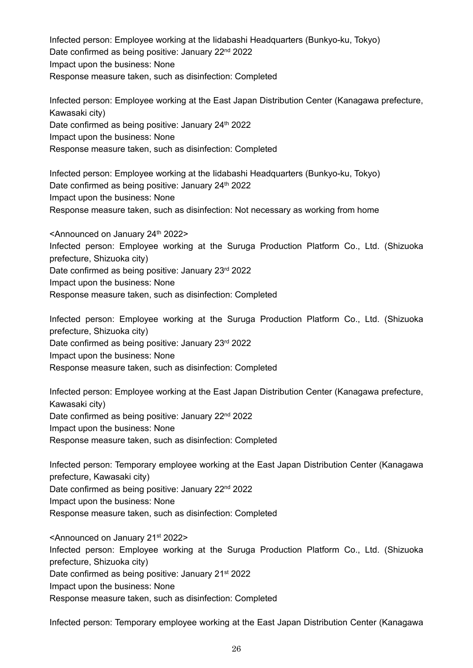Infected person: Employee working at the Iidabashi Headquarters (Bunkyo-ku, Tokyo) Date confirmed as being positive: January 22<sup>nd</sup> 2022 Impact upon the business: None Response measure taken, such as disinfection: Completed

Infected person: Employee working at the East Japan Distribution Center (Kanagawa prefecture, Kawasaki city) Date confirmed as being positive: January 24<sup>th</sup> 2022 Impact upon the business: None Response measure taken, such as disinfection: Completed

Infected person: Employee working at the Iidabashi Headquarters (Bunkyo-ku, Tokyo) Date confirmed as being positive: January 24<sup>th</sup> 2022 Impact upon the business: None Response measure taken, such as disinfection: Not necessary as working from home

<Announced on January 24<sup>th</sup> 2022> Infected person: Employee working at the Suruga Production Platform Co., Ltd. (Shizuoka prefecture, Shizuoka city) Date confirmed as being positive: January 23rd 2022 Impact upon the business: None Response measure taken, such as disinfection: Completed

Infected person: Employee working at the Suruga Production Platform Co., Ltd. (Shizuoka prefecture, Shizuoka city) Date confirmed as being positive: January 23rd 2022 Impact upon the business: None Response measure taken, such as disinfection: Completed

Infected person: Employee working at the East Japan Distribution Center (Kanagawa prefecture, Kawasaki city) Date confirmed as being positive: January 22<sup>nd</sup> 2022 Impact upon the business: None Response measure taken, such as disinfection: Completed

Infected person: Temporary employee working at the East Japan Distribution Center (Kanagawa prefecture, Kawasaki city) Date confirmed as being positive: January 22<sup>nd</sup> 2022 Impact upon the business: None Response measure taken, such as disinfection: Completed

<Announced on January 21st 2022> Infected person: Employee working at the Suruga Production Platform Co., Ltd. (Shizuoka prefecture, Shizuoka city) Date confirmed as being positive: January 21<sup>st</sup> 2022 Impact upon the business: None Response measure taken, such as disinfection: Completed

Infected person: Temporary employee working at the East Japan Distribution Center (Kanagawa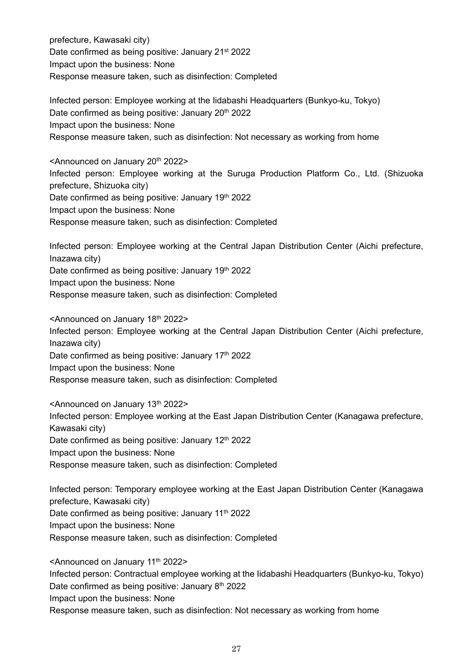prefecture, Kawasaki city) Date confirmed as being positive: January 21<sup>st</sup> 2022 Impact upon the business: None Response measure taken, such as disinfection: Completed

Infected person: Employee working at the Iidabashi Headquarters (Bunkyo-ku, Tokyo) Date confirmed as being positive: January 20<sup>th</sup> 2022 Impact upon the business: None Response measure taken, such as disinfection: Not necessary as working from home

<Announced on January 20<sup>th</sup> 2022> Infected person: Employee working at the Suruga Production Platform Co., Ltd. (Shizuoka prefecture, Shizuoka city) Date confirmed as being positive: January 19<sup>th</sup> 2022 Impact upon the business: None Response measure taken, such as disinfection: Completed

Infected person: Employee working at the Central Japan Distribution Center (Aichi prefecture, Inazawa city) Date confirmed as being positive: January 19th 2022 Impact upon the business: None Response measure taken, such as disinfection: Completed

<Announced on January 18th 2022> Infected person: Employee working at the Central Japan Distribution Center (Aichi prefecture, Inazawa city) Date confirmed as being positive: January 17<sup>th</sup> 2022 Impact upon the business: None Response measure taken, such as disinfection: Completed

<Announced on January 13th 2022> Infected person: Employee working at the East Japan Distribution Center (Kanagawa prefecture, Kawasaki city) Date confirmed as being positive: January 12<sup>th</sup> 2022 Impact upon the business: None Response measure taken, such as disinfection: Completed

Infected person: Temporary employee working at the East Japan Distribution Center (Kanagawa prefecture, Kawasaki city) Date confirmed as being positive: January 11<sup>th</sup> 2022 Impact upon the business: None Response measure taken, such as disinfection: Completed

<Announced on January 11<sup>th</sup> 2022> Infected person: Contractual employee working at the Iidabashi Headquarters (Bunkyo-ku, Tokyo) Date confirmed as being positive: January 8<sup>th</sup> 2022 Impact upon the business: None Response measure taken, such as disinfection: Not necessary as working from home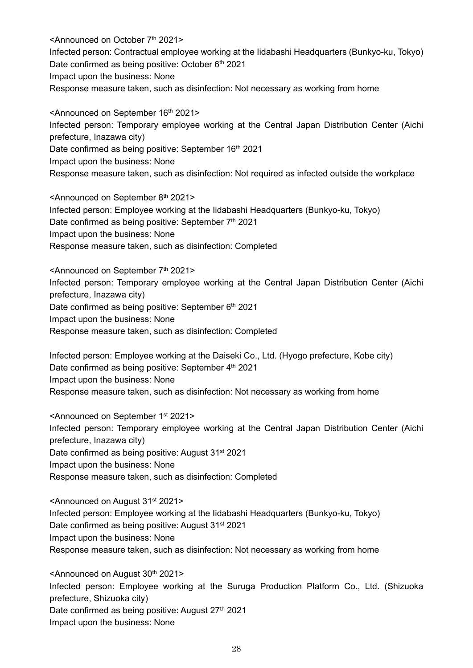<Announced on October 7th 2021> Infected person: Contractual employee working at the Iidabashi Headquarters (Bunkyo-ku, Tokyo) Date confirmed as being positive: October 6th 2021 Impact upon the business: None Response measure taken, such as disinfection: Not necessary as working from home

<Announced on September 16th 2021> Infected person: Temporary employee working at the Central Japan Distribution Center (Aichi prefecture, Inazawa city) Date confirmed as being positive: September 16<sup>th</sup> 2021 Impact upon the business: None Response measure taken, such as disinfection: Not required as infected outside the workplace

<Announced on September 8th 2021> Infected person: Employee working at the Iidabashi Headquarters (Bunkyo-ku, Tokyo) Date confirmed as being positive: September 7<sup>th</sup> 2021 Impact upon the business: None Response measure taken, such as disinfection: Completed

<Announced on September 7th 2021> Infected person: Temporary employee working at the Central Japan Distribution Center (Aichi prefecture, Inazawa city) Date confirmed as being positive: September 6<sup>th</sup> 2021 Impact upon the business: None Response measure taken, such as disinfection: Completed

Infected person: Employee working at the Daiseki Co., Ltd. (Hyogo prefecture, Kobe city) Date confirmed as being positive: September 4<sup>th</sup> 2021 Impact upon the business: None Response measure taken, such as disinfection: Not necessary as working from home

<Announced on September 1st 2021> Infected person: Temporary employee working at the Central Japan Distribution Center (Aichi prefecture, Inazawa city) Date confirmed as being positive: August 31<sup>st</sup> 2021 Impact upon the business: None Response measure taken, such as disinfection: Completed

<Announced on August 31st 2021> Infected person: Employee working at the Iidabashi Headquarters (Bunkyo-ku, Tokyo) Date confirmed as being positive: August 31<sup>st</sup> 2021 Impact upon the business: None Response measure taken, such as disinfection: Not necessary as working from home

<Announced on August 30<sup>th</sup> 2021> Infected person: Employee working at the Suruga Production Platform Co., Ltd. (Shizuoka prefecture, Shizuoka city) Date confirmed as being positive: August 27<sup>th</sup> 2021 Impact upon the business: None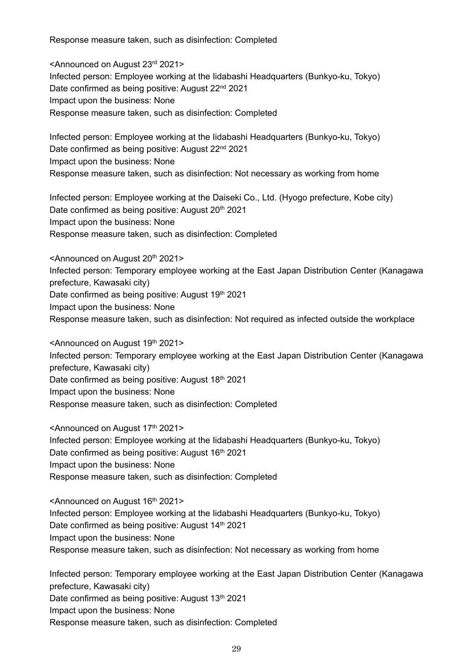Response measure taken, such as disinfection: Completed

<Announced on August 23rd 2021> Infected person: Employee working at the Iidabashi Headquarters (Bunkyo-ku, Tokyo) Date confirmed as being positive: August 22<sup>nd</sup> 2021 Impact upon the business: None Response measure taken, such as disinfection: Completed

Infected person: Employee working at the Iidabashi Headquarters (Bunkyo-ku, Tokyo) Date confirmed as being positive: August 22<sup>nd</sup> 2021 Impact upon the business: None Response measure taken, such as disinfection: Not necessary as working from home

Infected person: Employee working at the Daiseki Co., Ltd. (Hyogo prefecture, Kobe city) Date confirmed as being positive: August 20<sup>th</sup> 2021 Impact upon the business: None Response measure taken, such as disinfection: Completed

<Announced on August 20<sup>th</sup> 2021> Infected person: Temporary employee working at the East Japan Distribution Center (Kanagawa prefecture, Kawasaki city) Date confirmed as being positive: August 19th 2021 Impact upon the business: None Response measure taken, such as disinfection: Not required as infected outside the workplace

<Announced on August 19th 2021> Infected person: Temporary employee working at the East Japan Distribution Center (Kanagawa prefecture, Kawasaki city) Date confirmed as being positive: August 18th 2021 Impact upon the business: None Response measure taken, such as disinfection: Completed

<Announced on August 17th 2021> Infected person: Employee working at the Iidabashi Headquarters (Bunkyo-ku, Tokyo) Date confirmed as being positive: August 16th 2021 Impact upon the business: None Response measure taken, such as disinfection: Completed

<Announced on August 16th 2021> Infected person: Employee working at the Iidabashi Headquarters (Bunkyo-ku, Tokyo) Date confirmed as being positive: August 14<sup>th</sup> 2021 Impact upon the business: None Response measure taken, such as disinfection: Not necessary as working from home

Infected person: Temporary employee working at the East Japan Distribution Center (Kanagawa prefecture, Kawasaki city) Date confirmed as being positive: August 13th 2021 Impact upon the business: None Response measure taken, such as disinfection: Completed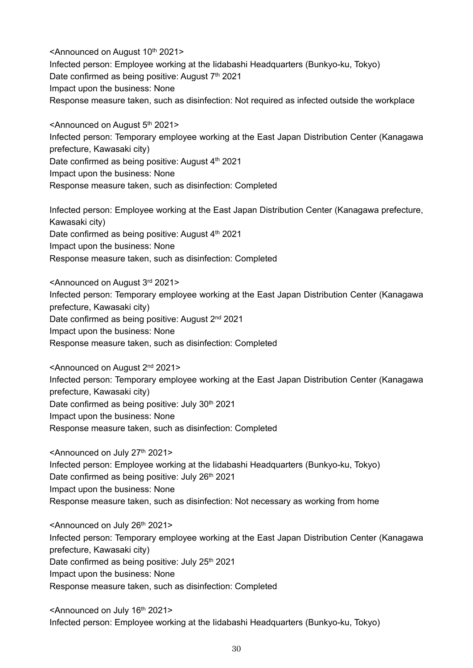<Announced on August 10th 2021> Infected person: Employee working at the Iidabashi Headquarters (Bunkyo-ku, Tokyo) Date confirmed as being positive: August 7<sup>th</sup> 2021 Impact upon the business: None Response measure taken, such as disinfection: Not required as infected outside the workplace

<Announced on August 5th 2021> Infected person: Temporary employee working at the East Japan Distribution Center (Kanagawa prefecture, Kawasaki city) Date confirmed as being positive: August 4th 2021 Impact upon the business: None Response measure taken, such as disinfection: Completed

Infected person: Employee working at the East Japan Distribution Center (Kanagawa prefecture, Kawasaki city) Date confirmed as being positive: August  $4<sup>th</sup>$  2021 Impact upon the business: None Response measure taken, such as disinfection: Completed

<Announced on August 3rd 2021> Infected person: Temporary employee working at the East Japan Distribution Center (Kanagawa prefecture, Kawasaki city) Date confirmed as being positive: August 2<sup>nd</sup> 2021 Impact upon the business: None Response measure taken, such as disinfection: Completed

<Announced on August 2nd 2021> Infected person: Temporary employee working at the East Japan Distribution Center (Kanagawa prefecture, Kawasaki city) Date confirmed as being positive: July 30<sup>th</sup> 2021 Impact upon the business: None Response measure taken, such as disinfection: Completed

<Announced on July 27<sup>th</sup> 2021> Infected person: Employee working at the Iidabashi Headquarters (Bunkyo-ku, Tokyo) Date confirmed as being positive: July 26<sup>th</sup> 2021 Impact upon the business: None Response measure taken, such as disinfection: Not necessary as working from home

<Announced on July 26th 2021> Infected person: Temporary employee working at the East Japan Distribution Center (Kanagawa prefecture, Kawasaki city) Date confirmed as being positive: July 25<sup>th</sup> 2021 Impact upon the business: None Response measure taken, such as disinfection: Completed

<Announced on July 16<sup>th</sup> 2021> Infected person: Employee working at the Iidabashi Headquarters (Bunkyo-ku, Tokyo)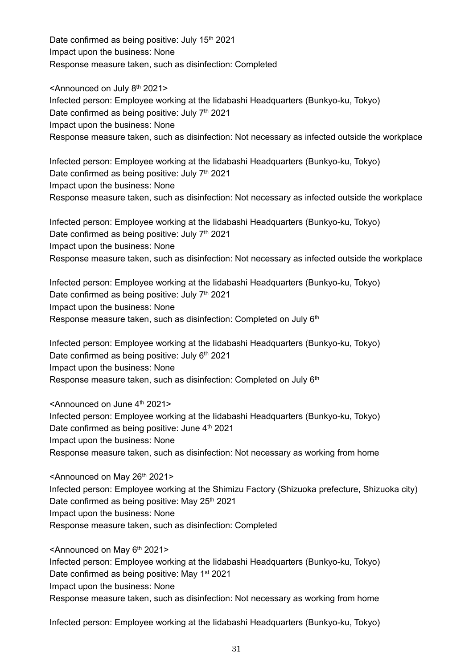Date confirmed as being positive: July 15<sup>th</sup> 2021 Impact upon the business: None Response measure taken, such as disinfection: Completed

<Announced on July 8<sup>th</sup> 2021> Infected person: Employee working at the Iidabashi Headquarters (Bunkyo-ku, Tokyo) Date confirmed as being positive: July 7<sup>th</sup> 2021 Impact upon the business: None Response measure taken, such as disinfection: Not necessary as infected outside the workplace

Infected person: Employee working at the Iidabashi Headquarters (Bunkyo-ku, Tokyo) Date confirmed as being positive: July  $7<sup>th</sup>$  2021 Impact upon the business: None Response measure taken, such as disinfection: Not necessary as infected outside the workplace

Infected person: Employee working at the Iidabashi Headquarters (Bunkyo-ku, Tokyo) Date confirmed as being positive: July  $7<sup>th</sup>$  2021 Impact upon the business: None Response measure taken, such as disinfection: Not necessary as infected outside the workplace

Infected person: Employee working at the Iidabashi Headquarters (Bunkyo-ku, Tokyo) Date confirmed as being positive: July  $7<sup>th</sup>$  2021 Impact upon the business: None Response measure taken, such as disinfection: Completed on July 6<sup>th</sup>

Infected person: Employee working at the Iidabashi Headquarters (Bunkyo-ku, Tokyo) Date confirmed as being positive: July  $6<sup>th</sup>$  2021 Impact upon the business: None Response measure taken, such as disinfection: Completed on July 6<sup>th</sup>

<Announced on June 4th 2021> Infected person: Employee working at the Iidabashi Headquarters (Bunkyo-ku, Tokyo) Date confirmed as being positive: June  $4<sup>th</sup>$  2021 Impact upon the business: None Response measure taken, such as disinfection: Not necessary as working from home

<Announced on May 26th 2021> Infected person: Employee working at the Shimizu Factory (Shizuoka prefecture, Shizuoka city) Date confirmed as being positive: May 25<sup>th</sup> 2021 Impact upon the business: None Response measure taken, such as disinfection: Completed

<Announced on May 6th 2021> Infected person: Employee working at the Iidabashi Headquarters (Bunkyo-ku, Tokyo) Date confirmed as being positive: May 1st 2021 Impact upon the business: None Response measure taken, such as disinfection: Not necessary as working from home

Infected person: Employee working at the Iidabashi Headquarters (Bunkyo-ku, Tokyo)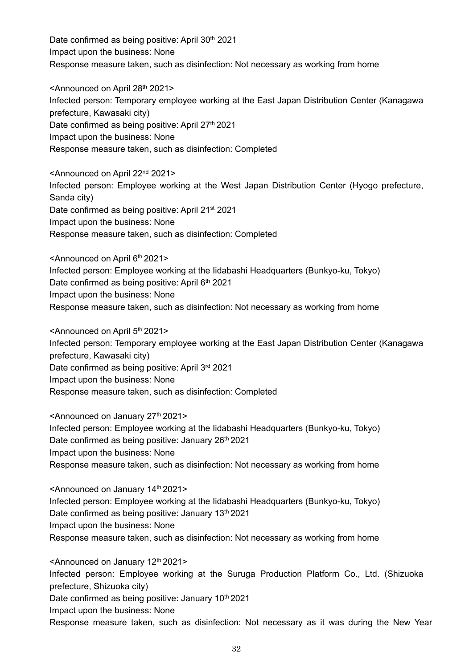Date confirmed as being positive: April 30<sup>th</sup> 2021 Impact upon the business: None Response measure taken, such as disinfection: Not necessary as working from home

<Announced on April 28th 2021> Infected person: Temporary employee working at the East Japan Distribution Center (Kanagawa prefecture, Kawasaki city) Date confirmed as being positive: April 27<sup>th</sup> 2021 Impact upon the business: None Response measure taken, such as disinfection: Completed

<Announced on April 22nd 2021> Infected person: Employee working at the West Japan Distribution Center (Hyogo prefecture, Sanda city) Date confirmed as being positive: April 21<sup>st</sup> 2021 Impact upon the business: None Response measure taken, such as disinfection: Completed

<Announced on April 6th 2021> Infected person: Employee working at the Iidabashi Headquarters (Bunkyo-ku, Tokyo) Date confirmed as being positive: April 6<sup>th</sup> 2021 Impact upon the business: None Response measure taken, such as disinfection: Not necessary as working from home

<Announced on April 5th 2021> Infected person: Temporary employee working at the East Japan Distribution Center (Kanagawa prefecture, Kawasaki city) Date confirmed as being positive: April 3rd 2021 Impact upon the business: None Response measure taken, such as disinfection: Completed

<Announced on January 27<sup>th</sup> 2021> Infected person: Employee working at the Iidabashi Headquarters (Bunkyo-ku, Tokyo) Date confirmed as being positive: January 26<sup>th</sup> 2021 Impact upon the business: None Response measure taken, such as disinfection: Not necessary as working from home

<Announced on January 14th 2021> Infected person: Employee working at the Iidabashi Headquarters (Bunkyo-ku, Tokyo) Date confirmed as being positive: January 13<sup>th</sup> 2021 Impact upon the business: None Response measure taken, such as disinfection: Not necessary as working from home

<Announced on January 12<sup>th</sup> 2021> Infected person: Employee working at the Suruga Production Platform Co., Ltd. (Shizuoka prefecture, Shizuoka city) Date confirmed as being positive: January 10<sup>th</sup> 2021 Impact upon the business: None Response measure taken, such as disinfection: Not necessary as it was during the New Year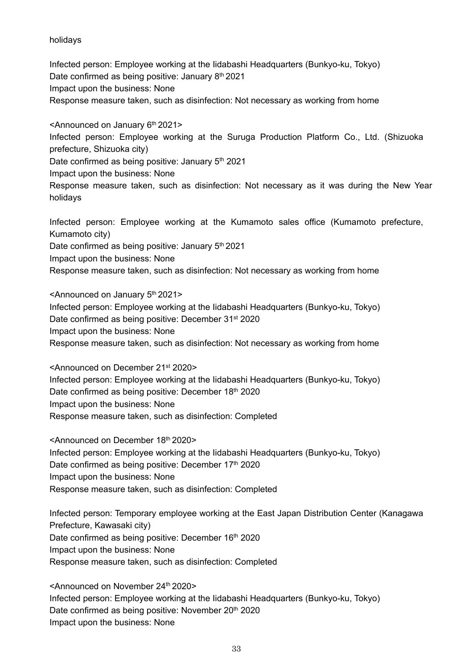holidays

Infected person: Employee working at the Iidabashi Headquarters (Bunkyo-ku, Tokyo) Date confirmed as being positive: January 8<sup>th</sup> 2021 Impact upon the business: None Response measure taken, such as disinfection: Not necessary as working from home

<Announced on January 6<sup>th</sup> 2021> Infected person: Employee working at the Suruga Production Platform Co., Ltd. (Shizuoka prefecture, Shizuoka city) Date confirmed as being positive: January 5<sup>th</sup> 2021 Impact upon the business: None Response measure taken, such as disinfection: Not necessary as it was during the New Year

holidays

Infected person: Employee working at the Kumamoto sales office (Kumamoto prefecture, Kumamoto city)

Date confirmed as being positive: January 5<sup>th</sup> 2021

Impact upon the business: None

Response measure taken, such as disinfection: Not necessary as working from home

 $\leq$ Announced on January  $5<sup>th</sup>$  2021> Infected person: Employee working at the Iidabashi Headquarters (Bunkyo-ku, Tokyo) Date confirmed as being positive: December 31<sup>st</sup> 2020 Impact upon the business: None Response measure taken, such as disinfection: Not necessary as working from home

<Announced on December 21st 2020> Infected person: Employee working at the Iidabashi Headquarters (Bunkyo-ku, Tokyo) Date confirmed as being positive: December 18th 2020 Impact upon the business: None Response measure taken, such as disinfection: Completed

<Announced on December 18th 2020> Infected person: Employee working at the Iidabashi Headquarters (Bunkyo-ku, Tokyo) Date confirmed as being positive: December 17th 2020 Impact upon the business: None Response measure taken, such as disinfection: Completed

Infected person: Temporary employee working at the East Japan Distribution Center (Kanagawa Prefecture, Kawasaki city) Date confirmed as being positive: December 16<sup>th</sup> 2020 Impact upon the business: None Response measure taken, such as disinfection: Completed

<Announced on November 24th 2020> Infected person: Employee working at the Iidabashi Headquarters (Bunkyo-ku, Tokyo) Date confirmed as being positive: November 20<sup>th</sup> 2020 Impact upon the business: None